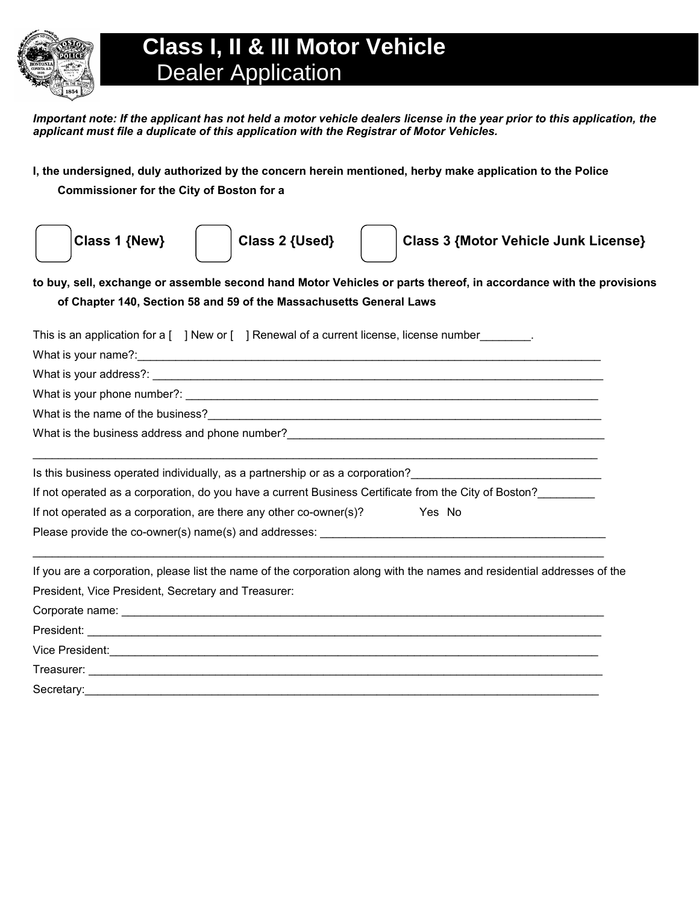

## **Class I, II & III Motor Vehicle** Dealer Application

*Important note: If the applicant has not held a motor vehicle dealers license in the year prior to this application, the applicant must file a duplicate of this application with the Registrar of Motor Vehicles.*

**I, the undersigned, duly authorized by the concern herein mentioned, herby make application to the Police Commissioner for the City of Boston for a** 

| Class 1 {New}                                       | Class 2 {Used}                                                      | <b>Class 3 {Motor Vehicle Junk License}</b>                                                                                                                                                                                                                                                                                                       |  |
|-----------------------------------------------------|---------------------------------------------------------------------|---------------------------------------------------------------------------------------------------------------------------------------------------------------------------------------------------------------------------------------------------------------------------------------------------------------------------------------------------|--|
|                                                     | of Chapter 140, Section 58 and 59 of the Massachusetts General Laws | to buy, sell, exchange or assemble second hand Motor Vehicles or parts thereof, in accordance with the provisions                                                                                                                                                                                                                                 |  |
|                                                     |                                                                     | This is an application for a [ ] New or [ ] Renewal of a current license, license number                                                                                                                                                                                                                                                          |  |
|                                                     |                                                                     |                                                                                                                                                                                                                                                                                                                                                   |  |
|                                                     |                                                                     |                                                                                                                                                                                                                                                                                                                                                   |  |
|                                                     |                                                                     | Is this business operated individually, as a partnership or as a corporation?                                                                                                                                                                                                                                                                     |  |
|                                                     | If not operated as a corporation, are there any other co-owner(s)?  | If not operated as a corporation, do you have a current Business Certificate from the City of Boston?<br>Yes No<br>Please provide the co-owner(s) name(s) and addresses: Name of the control of the control of the co-owner of the co-owner of the co-owner of the co-owner of the co-owner of the co-owner of the co-owner of the co-owner of th |  |
|                                                     |                                                                     | If you are a corporation, please list the name of the corporation along with the names and residential addresses of the                                                                                                                                                                                                                           |  |
| President, Vice President, Secretary and Treasurer: |                                                                     |                                                                                                                                                                                                                                                                                                                                                   |  |
|                                                     |                                                                     |                                                                                                                                                                                                                                                                                                                                                   |  |
|                                                     |                                                                     |                                                                                                                                                                                                                                                                                                                                                   |  |
|                                                     |                                                                     |                                                                                                                                                                                                                                                                                                                                                   |  |
| Secretary:                                          |                                                                     |                                                                                                                                                                                                                                                                                                                                                   |  |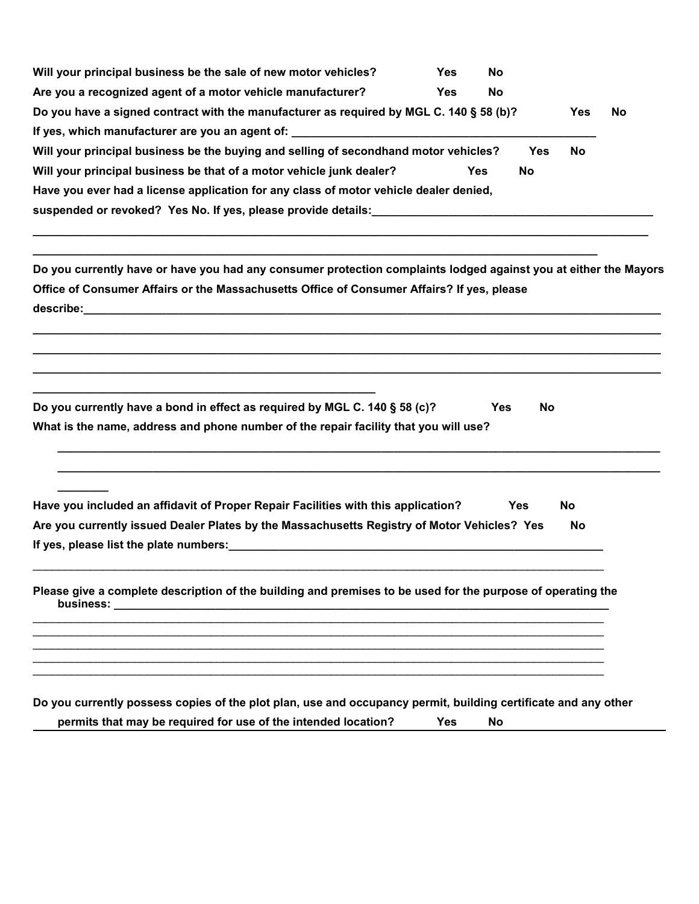| Will your principal business be the sale of new motor vehicles?                         | <b>Yes</b> | <b>No</b> |     |  |  |  |
|-----------------------------------------------------------------------------------------|------------|-----------|-----|--|--|--|
| Are you a recognized agent of a motor vehicle manufacturer?                             | Yes        | <b>No</b> |     |  |  |  |
| Do you have a signed contract with the manufacturer as required by MGL C. 140 § 58 (b)? |            |           |     |  |  |  |
| If yes, which manufacturer are you an agent of:                                         |            |           |     |  |  |  |
| Will your principal business be the buying and selling of secondhand motor vehicles?    | <b>Yes</b> | <b>No</b> |     |  |  |  |
| Will your principal business be that of a motor vehicle junk dealer?                    |            | Yes.      | No. |  |  |  |
| Have you ever had a license application for any class of motor vehicle dealer denied,   |            |           |     |  |  |  |
| suspended or revoked? Yes No. If yes, please provide details:                           |            |           |     |  |  |  |
|                                                                                         |            |           |     |  |  |  |

**Do you currently have or have you had any consumer protection complaints lodged against you at either the Mayors Office of Consumer Affairs or the Massachusetts Office of Consumer Affairs? If yes, please describe:\_\_\_\_\_\_\_\_\_\_\_\_\_\_\_\_\_\_\_\_\_\_\_\_\_\_\_\_\_\_\_\_\_\_\_\_\_\_\_\_\_\_\_\_\_\_\_\_\_\_\_\_\_\_\_\_\_\_\_\_\_\_\_\_\_\_\_\_\_\_\_\_\_\_\_\_\_\_\_\_\_\_\_\_\_\_\_\_\_\_\_**

**\_\_\_\_\_\_\_\_\_\_\_\_\_\_\_\_\_\_\_\_\_\_\_\_\_\_\_\_\_\_\_\_\_\_\_\_\_\_\_\_\_\_\_\_\_\_\_\_\_\_\_\_\_\_\_\_\_\_\_\_\_\_\_\_\_\_\_\_\_\_\_\_\_\_\_\_\_\_\_\_\_\_\_\_\_\_\_\_\_\_\_\_\_\_\_\_\_\_\_ \_\_\_\_\_\_\_\_\_\_\_\_\_\_\_\_\_\_\_\_\_\_\_\_\_\_\_\_\_\_\_\_\_\_\_\_\_\_\_\_\_\_\_\_\_\_\_\_\_\_\_\_\_\_\_\_\_\_\_\_\_\_\_\_\_\_\_\_\_\_\_\_\_\_\_\_\_\_\_\_\_\_\_\_\_\_\_\_\_\_\_\_\_\_\_\_\_\_\_ \_\_\_\_\_\_\_\_\_\_\_\_\_\_\_\_\_\_\_\_\_\_\_\_\_\_\_\_\_\_\_\_\_\_\_\_\_\_\_\_\_\_\_\_\_\_\_\_\_\_\_\_\_\_\_\_\_\_\_\_\_\_\_\_\_\_\_\_\_\_\_\_\_\_\_\_\_\_\_\_\_\_\_\_\_\_\_\_\_\_\_\_\_\_\_\_\_\_\_**

**\_\_\_\_\_\_\_\_\_\_\_\_\_\_\_\_\_\_\_\_\_\_\_\_\_\_\_\_\_\_\_\_\_\_\_\_\_\_\_\_\_\_\_\_\_\_\_\_\_\_\_\_\_\_\_\_\_\_\_\_\_\_\_\_\_\_\_\_\_\_\_\_\_\_\_\_\_\_\_\_\_\_\_\_\_\_\_\_\_\_\_\_\_\_\_ \_\_\_\_\_\_\_\_\_\_\_\_\_\_\_\_\_\_\_\_\_\_\_\_\_\_\_\_\_\_\_\_\_\_\_\_\_\_\_\_\_\_\_\_\_\_\_\_\_\_\_\_\_\_\_\_\_\_\_\_\_\_\_\_\_\_\_\_\_\_\_\_\_\_\_\_\_\_\_\_\_\_\_\_\_\_\_\_\_\_\_\_\_\_\_**

**\_\_\_\_\_\_\_\_\_\_\_\_\_\_\_\_\_\_\_\_\_\_\_\_\_\_\_\_\_\_\_\_\_\_\_\_\_\_\_\_\_\_\_\_\_\_\_\_\_\_\_\_\_\_\_\_\_\_\_\_\_\_\_\_\_\_\_\_\_\_\_\_\_\_\_\_\_\_\_\_\_\_\_\_\_\_\_\_\_**

**Do you currently have a bond in effect as required by MGL C. 140 § 58 (c)? Yes No What is the name, address and phone number of the repair facility that you will use?**

**\_\_\_\_\_\_\_\_\_\_\_\_\_\_\_\_\_\_\_\_\_\_\_\_\_\_\_\_\_\_\_\_\_\_\_\_\_\_\_\_\_\_\_\_\_\_\_\_\_\_\_\_\_\_**

**\_\_\_\_\_\_\_\_**

| Have you included an affidavit of Proper Repair Facilities with this application?           | Yes | No |
|---------------------------------------------------------------------------------------------|-----|----|
| Are you currently issued Dealer Plates by the Massachusetts Registry of Motor Vehicles? Yes |     | No |
| If yes, please list the plate numbers:                                                      |     |    |

 $\mathcal{L}_\text{max}$  , and the set of the set of the set of the set of the set of the set of the set of the set of the set of the set of the set of the set of the set of the set of the set of the set of the set of the set of the

**Please give a complete description of the building and premises to be used for the purpose of operating the** business:  $\mathcal{L}_\text{max} = \{ \mathcal{L}_\text{max} = \{ \mathcal{L}_\text{max} = \{ \mathcal{L}_\text{max} = \{ \mathcal{L}_\text{max} = \{ \mathcal{L}_\text{max} = \{ \mathcal{L}_\text{max} = \{ \mathcal{L}_\text{max} = \{ \mathcal{L}_\text{max} = \{ \mathcal{L}_\text{max} = \{ \mathcal{L}_\text{max} = \{ \mathcal{L}_\text{max} = \{ \mathcal{L}_\text{max} = \{ \mathcal{L}_\text{max} = \{ \mathcal{L}_\text{max} = \{ \mathcal{L}_\text{max$ 

 $\mathcal{L}_\text{max}$  , and the set of the set of the set of the set of the set of the set of the set of the set of the set of the set of the set of the set of the set of the set of the set of the set of the set of the set of the  $\mathcal{L}_\text{max}$  , and the set of the set of the set of the set of the set of the set of the set of the set of the set of the set of the set of the set of the set of the set of the set of the set of the set of the set of the  $\mathcal{L}_\text{max} = \{ \mathcal{L}_\text{max} = \{ \mathcal{L}_\text{max} = \{ \mathcal{L}_\text{max} = \{ \mathcal{L}_\text{max} = \{ \mathcal{L}_\text{max} = \{ \mathcal{L}_\text{max} = \{ \mathcal{L}_\text{max} = \{ \mathcal{L}_\text{max} = \{ \mathcal{L}_\text{max} = \{ \mathcal{L}_\text{max} = \{ \mathcal{L}_\text{max} = \{ \mathcal{L}_\text{max} = \{ \mathcal{L}_\text{max} = \{ \mathcal{L}_\text{max} = \{ \mathcal{L}_\text{max$  $\mathcal{L}_\text{max}$  , and the set of the set of the set of the set of the set of the set of the set of the set of the set of the set of the set of the set of the set of the set of the set of the set of the set of the set of the

**Do you currently possess copies of the plot plan, use and occupancy permit, building certificate and any other permits that may be required for use of the intended location? Yes No**